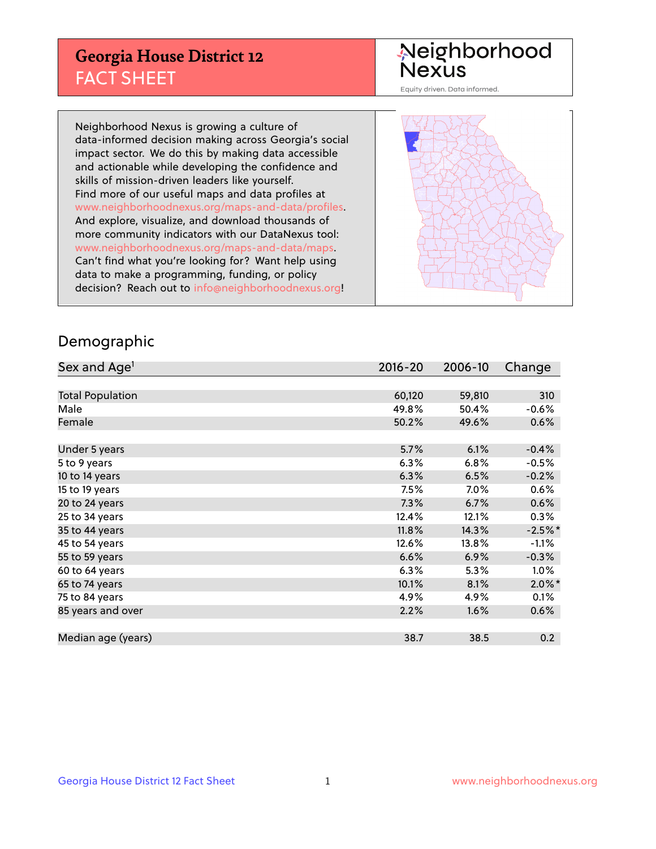## **Georgia House District 12** FACT SHEET

Neighborhood<br>Nexus

Equity driven. Data informed.

Neighborhood Nexus is growing a culture of data-informed decision making across Georgia's social impact sector. We do this by making data accessible and actionable while developing the confidence and skills of mission-driven leaders like yourself. Find more of our useful maps and data profiles at www.neighborhoodnexus.org/maps-and-data/profiles. And explore, visualize, and download thousands of more community indicators with our DataNexus tool: www.neighborhoodnexus.org/maps-and-data/maps. Can't find what you're looking for? Want help using data to make a programming, funding, or policy decision? Reach out to [info@neighborhoodnexus.org!](mailto:info@neighborhoodnexus.org)



#### Demographic

| Sex and Age <sup>1</sup> | 2016-20 | 2006-10 | Change    |
|--------------------------|---------|---------|-----------|
|                          |         |         |           |
| <b>Total Population</b>  | 60,120  | 59,810  | 310       |
| Male                     | 49.8%   | 50.4%   | $-0.6%$   |
| Female                   | 50.2%   | 49.6%   | 0.6%      |
|                          |         |         |           |
| Under 5 years            | 5.7%    | 6.1%    | $-0.4%$   |
| 5 to 9 years             | 6.3%    | 6.8%    | $-0.5%$   |
| 10 to 14 years           | 6.3%    | 6.5%    | $-0.2%$   |
| 15 to 19 years           | 7.5%    | $7.0\%$ | 0.6%      |
| 20 to 24 years           | 7.3%    | 6.7%    | 0.6%      |
| 25 to 34 years           | 12.4%   | 12.1%   | 0.3%      |
| 35 to 44 years           | 11.8%   | 14.3%   | $-2.5%$ * |
| 45 to 54 years           | 12.6%   | 13.8%   | $-1.1%$   |
| 55 to 59 years           | 6.6%    | 6.9%    | $-0.3%$   |
| 60 to 64 years           | 6.3%    | 5.3%    | $1.0\%$   |
| 65 to 74 years           | 10.1%   | 8.1%    | $2.0\%$ * |
| 75 to 84 years           | 4.9%    | 4.9%    | 0.1%      |
| 85 years and over        | 2.2%    | 1.6%    | 0.6%      |
|                          |         |         |           |
| Median age (years)       | 38.7    | 38.5    | 0.2       |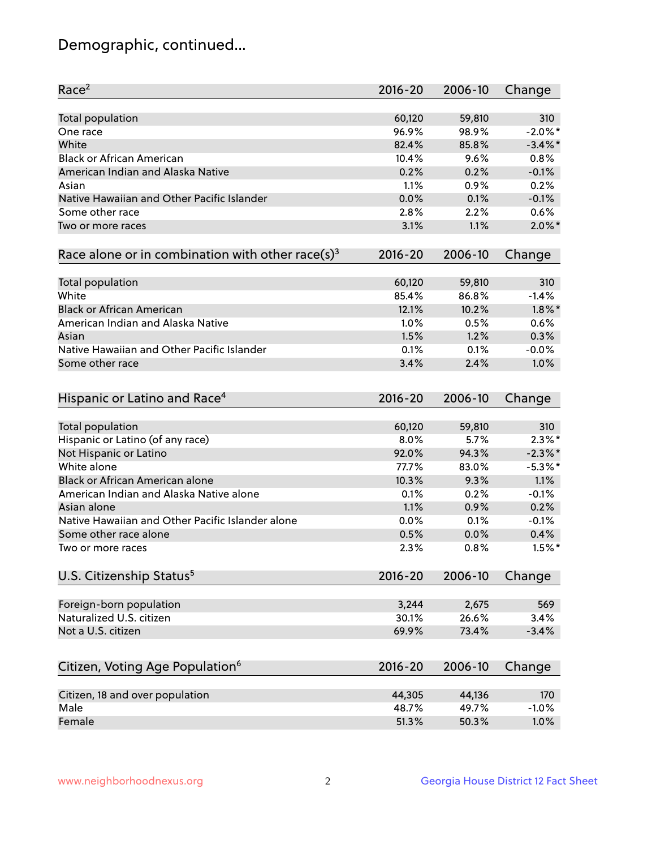# Demographic, continued...

| Race <sup>2</sup>                                            | $2016 - 20$ | 2006-10 | Change     |
|--------------------------------------------------------------|-------------|---------|------------|
| <b>Total population</b>                                      | 60,120      | 59,810  | 310        |
| One race                                                     | 96.9%       | 98.9%   | $-2.0\%$ * |
| White                                                        | 82.4%       | 85.8%   | $-3.4\%$ * |
| <b>Black or African American</b>                             | 10.4%       | 9.6%    | 0.8%       |
| American Indian and Alaska Native                            | 0.2%        | 0.2%    | $-0.1%$    |
| Asian                                                        | 1.1%        | 0.9%    | 0.2%       |
| Native Hawaiian and Other Pacific Islander                   | 0.0%        | 0.1%    | $-0.1%$    |
| Some other race                                              | 2.8%        | 2.2%    | 0.6%       |
| Two or more races                                            | 3.1%        | 1.1%    | $2.0\%$ *  |
|                                                              |             |         |            |
| Race alone or in combination with other race(s) <sup>3</sup> | $2016 - 20$ | 2006-10 | Change     |
| Total population                                             | 60,120      | 59,810  | 310        |
| White                                                        | 85.4%       | 86.8%   | $-1.4%$    |
| <b>Black or African American</b>                             | 12.1%       | 10.2%   | $1.8\%$ *  |
| American Indian and Alaska Native                            | 1.0%        | 0.5%    | 0.6%       |
| Asian                                                        | 1.5%        | 1.2%    | 0.3%       |
| Native Hawaiian and Other Pacific Islander                   | 0.1%        | 0.1%    | $-0.0%$    |
| Some other race                                              | 3.4%        | 2.4%    | 1.0%       |
|                                                              |             |         |            |
| Hispanic or Latino and Race <sup>4</sup>                     | $2016 - 20$ | 2006-10 | Change     |
| <b>Total population</b>                                      | 60,120      | 59,810  | 310        |
| Hispanic or Latino (of any race)                             | 8.0%        | 5.7%    | $2.3\%$ *  |
| Not Hispanic or Latino                                       | 92.0%       | 94.3%   | $-2.3\%$ * |
| White alone                                                  | 77.7%       | 83.0%   | $-5.3\%$ * |
| Black or African American alone                              | 10.3%       | 9.3%    | 1.1%       |
| American Indian and Alaska Native alone                      | 0.1%        | 0.2%    | $-0.1%$    |
| Asian alone                                                  | 1.1%        | 0.9%    | 0.2%       |
| Native Hawaiian and Other Pacific Islander alone             |             |         |            |
|                                                              | $0.0\%$     | 0.1%    | $-0.1%$    |
| Some other race alone                                        | 0.5%        | 0.0%    | 0.4%       |
| Two or more races                                            | 2.3%        | 0.8%    | $1.5%$ *   |
| U.S. Citizenship Status <sup>5</sup>                         | $2016 - 20$ | 2006-10 | Change     |
| Foreign-born population                                      | 3,244       | 2,675   | 569        |
| Naturalized U.S. citizen                                     | 30.1%       | 26.6%   | 3.4%       |
| Not a U.S. citizen                                           | 69.9%       | 73.4%   | $-3.4%$    |
|                                                              |             |         |            |
| Citizen, Voting Age Population <sup>6</sup>                  | $2016 - 20$ | 2006-10 | Change     |
|                                                              | 44,305      | 44,136  | 170        |
| Citizen, 18 and over population<br>Male                      | 48.7%       | 49.7%   | $-1.0%$    |
|                                                              |             |         |            |
| Female                                                       | 51.3%       | 50.3%   | 1.0%       |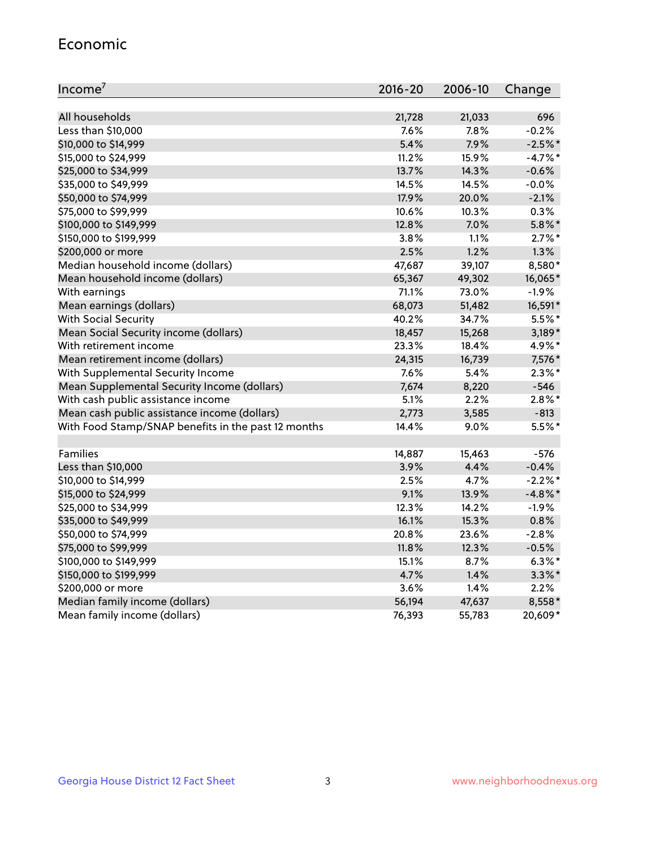#### Economic

| Income <sup>7</sup>                                 | 2016-20 | 2006-10 | Change     |
|-----------------------------------------------------|---------|---------|------------|
|                                                     |         |         |            |
| All households                                      | 21,728  | 21,033  | 696        |
| Less than \$10,000                                  | 7.6%    | 7.8%    | $-0.2%$    |
| \$10,000 to \$14,999                                | 5.4%    | 7.9%    | $-2.5%$ *  |
| \$15,000 to \$24,999                                | 11.2%   | 15.9%   | $-4.7%$ *  |
| \$25,000 to \$34,999                                | 13.7%   | 14.3%   | $-0.6%$    |
| \$35,000 to \$49,999                                | 14.5%   | 14.5%   | $-0.0%$    |
| \$50,000 to \$74,999                                | 17.9%   | 20.0%   | $-2.1%$    |
| \$75,000 to \$99,999                                | 10.6%   | 10.3%   | 0.3%       |
| \$100,000 to \$149,999                              | 12.8%   | 7.0%    | $5.8\%$ *  |
| \$150,000 to \$199,999                              | 3.8%    | 1.1%    | $2.7\%$ *  |
| \$200,000 or more                                   | 2.5%    | 1.2%    | 1.3%       |
| Median household income (dollars)                   | 47,687  | 39,107  | 8,580*     |
| Mean household income (dollars)                     | 65,367  | 49,302  | 16,065*    |
| With earnings                                       | 71.1%   | 73.0%   | $-1.9%$    |
| Mean earnings (dollars)                             | 68,073  | 51,482  | 16,591*    |
| <b>With Social Security</b>                         | 40.2%   | 34.7%   | 5.5%*      |
| Mean Social Security income (dollars)               | 18,457  | 15,268  | $3,189*$   |
| With retirement income                              | 23.3%   | 18.4%   | 4.9%*      |
| Mean retirement income (dollars)                    | 24,315  | 16,739  | 7,576*     |
| With Supplemental Security Income                   | 7.6%    | 5.4%    | $2.3\%$ *  |
| Mean Supplemental Security Income (dollars)         | 7,674   | 8,220   | $-546$     |
| With cash public assistance income                  | 5.1%    | 2.2%    | $2.8\%$ *  |
| Mean cash public assistance income (dollars)        | 2,773   | 3,585   | $-813$     |
| With Food Stamp/SNAP benefits in the past 12 months | 14.4%   | 9.0%    | 5.5%*      |
|                                                     |         |         |            |
| Families                                            | 14,887  | 15,463  | $-576$     |
| Less than \$10,000                                  | 3.9%    | 4.4%    | $-0.4%$    |
| \$10,000 to \$14,999                                | 2.5%    | 4.7%    | $-2.2%$ *  |
| \$15,000 to \$24,999                                | 9.1%    | 13.9%   | $-4.8\%$ * |
| \$25,000 to \$34,999                                | 12.3%   | 14.2%   | $-1.9%$    |
| \$35,000 to \$49,999                                | 16.1%   | 15.3%   | 0.8%       |
| \$50,000 to \$74,999                                | 20.8%   | 23.6%   | $-2.8%$    |
| \$75,000 to \$99,999                                | 11.8%   | 12.3%   | $-0.5%$    |
| \$100,000 to \$149,999                              | 15.1%   | $8.7\%$ | $6.3\%$ *  |
| \$150,000 to \$199,999                              | 4.7%    | 1.4%    | $3.3\%$ *  |
| \$200,000 or more                                   | 3.6%    | 1.4%    | 2.2%       |
| Median family income (dollars)                      | 56,194  | 47,637  | 8,558*     |
| Mean family income (dollars)                        | 76,393  | 55,783  | 20,609*    |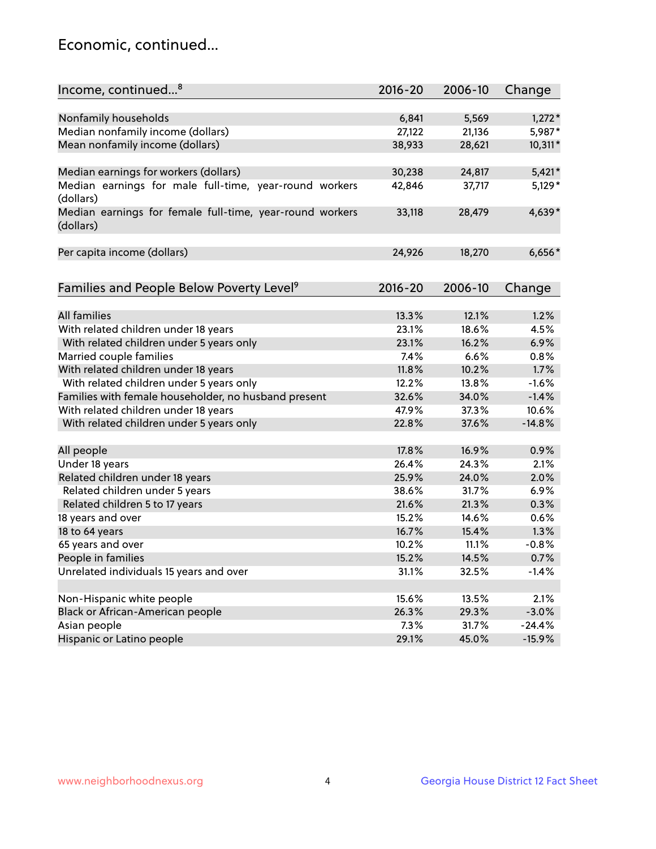## Economic, continued...

| Income, continued <sup>8</sup>                                        | $2016 - 20$ | 2006-10 | Change   |
|-----------------------------------------------------------------------|-------------|---------|----------|
|                                                                       |             |         |          |
| Nonfamily households                                                  | 6,841       | 5,569   | $1,272*$ |
| Median nonfamily income (dollars)                                     | 27,122      | 21,136  | 5,987*   |
| Mean nonfamily income (dollars)                                       | 38,933      | 28,621  | 10,311*  |
| Median earnings for workers (dollars)                                 | 30,238      | 24,817  | $5,421*$ |
| Median earnings for male full-time, year-round workers<br>(dollars)   | 42,846      | 37,717  | $5,129*$ |
| Median earnings for female full-time, year-round workers<br>(dollars) | 33,118      | 28,479  | 4,639*   |
| Per capita income (dollars)                                           | 24,926      | 18,270  | $6,656*$ |
| Families and People Below Poverty Level <sup>9</sup>                  | $2016 - 20$ | 2006-10 | Change   |
|                                                                       |             |         |          |
| <b>All families</b>                                                   | 13.3%       | 12.1%   | 1.2%     |
| With related children under 18 years                                  | 23.1%       | 18.6%   | 4.5%     |
| With related children under 5 years only                              | 23.1%       | 16.2%   | 6.9%     |
| Married couple families                                               | 7.4%        | 6.6%    | 0.8%     |
| With related children under 18 years                                  | 11.8%       | 10.2%   | 1.7%     |
| With related children under 5 years only                              | 12.2%       | 13.8%   | $-1.6%$  |
| Families with female householder, no husband present                  | 32.6%       | 34.0%   | $-1.4%$  |
| With related children under 18 years                                  | 47.9%       | 37.3%   | 10.6%    |
| With related children under 5 years only                              | 22.8%       | 37.6%   | $-14.8%$ |
| All people                                                            | 17.8%       | 16.9%   | 0.9%     |
| Under 18 years                                                        | 26.4%       | 24.3%   | 2.1%     |
| Related children under 18 years                                       | 25.9%       | 24.0%   | 2.0%     |
| Related children under 5 years                                        | 38.6%       | 31.7%   | 6.9%     |
| Related children 5 to 17 years                                        | 21.6%       | 21.3%   | 0.3%     |
| 18 years and over                                                     | 15.2%       | 14.6%   | 0.6%     |
| 18 to 64 years                                                        | 16.7%       | 15.4%   | 1.3%     |
| 65 years and over                                                     | 10.2%       | 11.1%   | $-0.8%$  |
|                                                                       |             |         |          |
| People in families<br>Unrelated individuals 15 years and over         | 15.2%       | 14.5%   | 0.7%     |
|                                                                       | 31.1%       | 32.5%   | $-1.4%$  |
| Non-Hispanic white people                                             | 15.6%       | 13.5%   | 2.1%     |
| Black or African-American people                                      | 26.3%       | 29.3%   | $-3.0%$  |
| Asian people                                                          | 7.3%        | 31.7%   | $-24.4%$ |
| Hispanic or Latino people                                             | 29.1%       | 45.0%   | $-15.9%$ |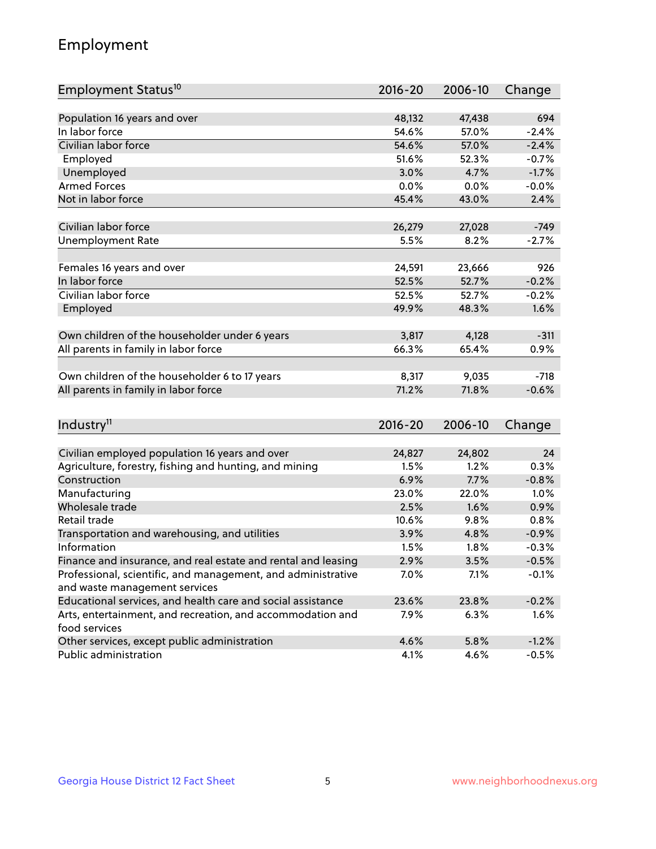# Employment

| Employment Status <sup>10</sup>                               | $2016 - 20$ | 2006-10 | Change  |
|---------------------------------------------------------------|-------------|---------|---------|
|                                                               |             |         |         |
| Population 16 years and over                                  | 48,132      | 47,438  | 694     |
| In labor force                                                | 54.6%       | 57.0%   | $-2.4%$ |
| Civilian labor force                                          | 54.6%       | 57.0%   | $-2.4%$ |
| Employed                                                      | 51.6%       | 52.3%   | $-0.7%$ |
| Unemployed                                                    | 3.0%        | 4.7%    | $-1.7%$ |
| <b>Armed Forces</b>                                           | 0.0%        | $0.0\%$ | $-0.0%$ |
| Not in labor force                                            | 45.4%       | 43.0%   | 2.4%    |
|                                                               |             |         |         |
| Civilian labor force                                          | 26,279      | 27,028  | $-749$  |
| <b>Unemployment Rate</b>                                      | 5.5%        | 8.2%    | $-2.7%$ |
|                                                               |             |         |         |
| Females 16 years and over                                     | 24,591      | 23,666  | 926     |
| In labor force                                                | 52.5%       | 52.7%   | $-0.2%$ |
| Civilian labor force                                          | 52.5%       | 52.7%   | $-0.2%$ |
| Employed                                                      | 49.9%       | 48.3%   | 1.6%    |
|                                                               |             |         |         |
| Own children of the householder under 6 years                 | 3,817       | 4,128   | $-311$  |
| All parents in family in labor force                          | 66.3%       | 65.4%   | 0.9%    |
|                                                               |             |         |         |
| Own children of the householder 6 to 17 years                 | 8,317       | 9,035   | $-718$  |
| All parents in family in labor force                          | 71.2%       | 71.8%   | $-0.6%$ |
|                                                               |             |         |         |
| Industry <sup>11</sup>                                        | $2016 - 20$ | 2006-10 | Change  |
|                                                               |             |         |         |
| Civilian employed population 16 years and over                | 24,827      | 24,802  | 24      |
| Agriculture, forestry, fishing and hunting, and mining        | 1.5%        | 1.2%    | 0.3%    |
| Construction                                                  | 6.9%        | 7.7%    | $-0.8%$ |
| Manufacturing                                                 | 23.0%       | 22.0%   | 1.0%    |
| Wholesale trade                                               | 2.5%        | 1.6%    | 0.9%    |
| Retail trade                                                  | 10.6%       | 9.8%    | 0.8%    |
| Transportation and warehousing, and utilities                 | 3.9%        | 4.8%    | $-0.9%$ |
| Information                                                   | 1.5%        | 1.8%    | $-0.3%$ |
| Finance and insurance, and real estate and rental and leasing | 2.9%        | 3.5%    | $-0.5%$ |
| Professional, scientific, and management, and administrative  | 7.0%        | 7.1%    | $-0.1%$ |
| and waste management services                                 |             |         |         |
| Educational services, and health care and social assistance   | 23.6%       | 23.8%   | $-0.2%$ |
| Arts, entertainment, and recreation, and accommodation and    | 7.9%        | 6.3%    | 1.6%    |
| food services                                                 |             |         |         |
| Other services, except public administration                  | 4.6%        | 5.8%    | $-1.2%$ |
| Public administration                                         | 4.1%        | 4.6%    | $-0.5%$ |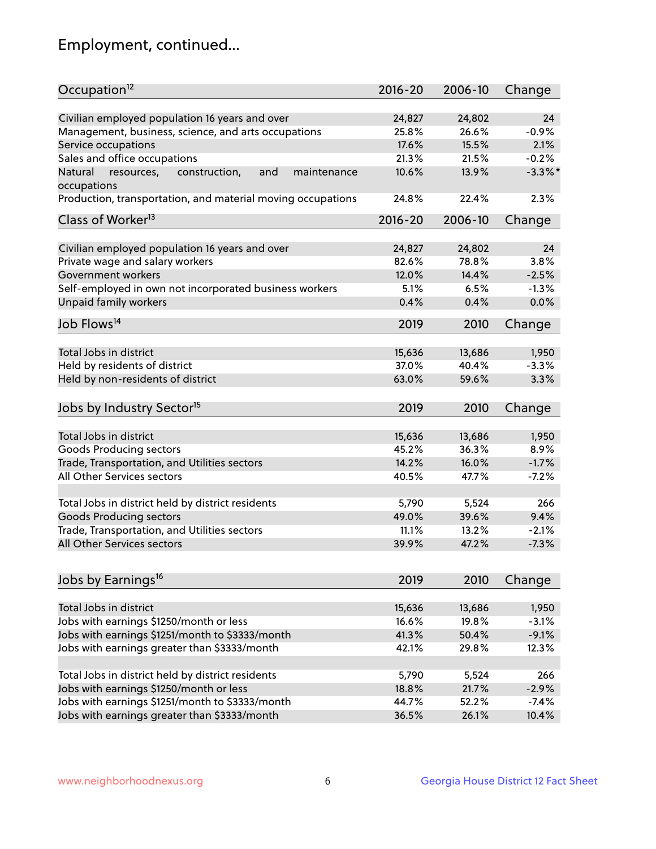# Employment, continued...

| Occupation <sup>12</sup>                                    | $2016 - 20$ | 2006-10 | Change     |
|-------------------------------------------------------------|-------------|---------|------------|
| Civilian employed population 16 years and over              | 24,827      | 24,802  | 24         |
| Management, business, science, and arts occupations         | 25.8%       | 26.6%   | $-0.9%$    |
| Service occupations                                         | 17.6%       | 15.5%   | 2.1%       |
| Sales and office occupations                                | 21.3%       | 21.5%   | $-0.2%$    |
| Natural<br>and<br>maintenance                               | 10.6%       | 13.9%   | $-3.3\%$ * |
| resources,<br>construction,<br>occupations                  |             |         |            |
| Production, transportation, and material moving occupations | 24.8%       | 22.4%   | 2.3%       |
| Class of Worker <sup>13</sup>                               | $2016 - 20$ | 2006-10 | Change     |
|                                                             |             |         |            |
| Civilian employed population 16 years and over              | 24,827      | 24,802  | 24         |
| Private wage and salary workers                             | 82.6%       | 78.8%   | 3.8%       |
| Government workers                                          | 12.0%       | 14.4%   | $-2.5%$    |
| Self-employed in own not incorporated business workers      | 5.1%        | 6.5%    | $-1.3%$    |
| Unpaid family workers                                       | 0.4%        | 0.4%    | 0.0%       |
| Job Flows <sup>14</sup>                                     | 2019        | 2010    | Change     |
|                                                             |             |         |            |
| Total Jobs in district                                      | 15,636      | 13,686  | 1,950      |
| Held by residents of district                               | 37.0%       | 40.4%   | $-3.3%$    |
| Held by non-residents of district                           | 63.0%       | 59.6%   | 3.3%       |
| Jobs by Industry Sector <sup>15</sup>                       | 2019        | 2010    | Change     |
|                                                             |             |         |            |
| Total Jobs in district                                      | 15,636      | 13,686  | 1,950      |
| Goods Producing sectors                                     | 45.2%       | 36.3%   | 8.9%       |
| Trade, Transportation, and Utilities sectors                | 14.2%       | 16.0%   | $-1.7%$    |
| All Other Services sectors                                  | 40.5%       | 47.7%   | $-7.2%$    |
|                                                             |             |         |            |
| Total Jobs in district held by district residents           | 5,790       | 5,524   | 266        |
| <b>Goods Producing sectors</b>                              | 49.0%       | 39.6%   | 9.4%       |
| Trade, Transportation, and Utilities sectors                | 11.1%       | 13.2%   | $-2.1%$    |
| All Other Services sectors                                  | 39.9%       | 47.2%   | $-7.3%$    |
|                                                             |             |         |            |
| Jobs by Earnings <sup>16</sup>                              | 2019        | 2010    | Change     |
| Total Jobs in district                                      | 15,636      | 13,686  | 1,950      |
| Jobs with earnings \$1250/month or less                     | 16.6%       | 19.8%   | $-3.1%$    |
| Jobs with earnings \$1251/month to \$3333/month             | 41.3%       | 50.4%   | $-9.1%$    |
|                                                             | 42.1%       |         |            |
| Jobs with earnings greater than \$3333/month                |             | 29.8%   | 12.3%      |
| Total Jobs in district held by district residents           | 5,790       | 5,524   | 266        |
| Jobs with earnings \$1250/month or less                     | 18.8%       | 21.7%   | $-2.9%$    |
| Jobs with earnings \$1251/month to \$3333/month             | 44.7%       | 52.2%   | $-7.4%$    |
| Jobs with earnings greater than \$3333/month                | 36.5%       | 26.1%   | 10.4%      |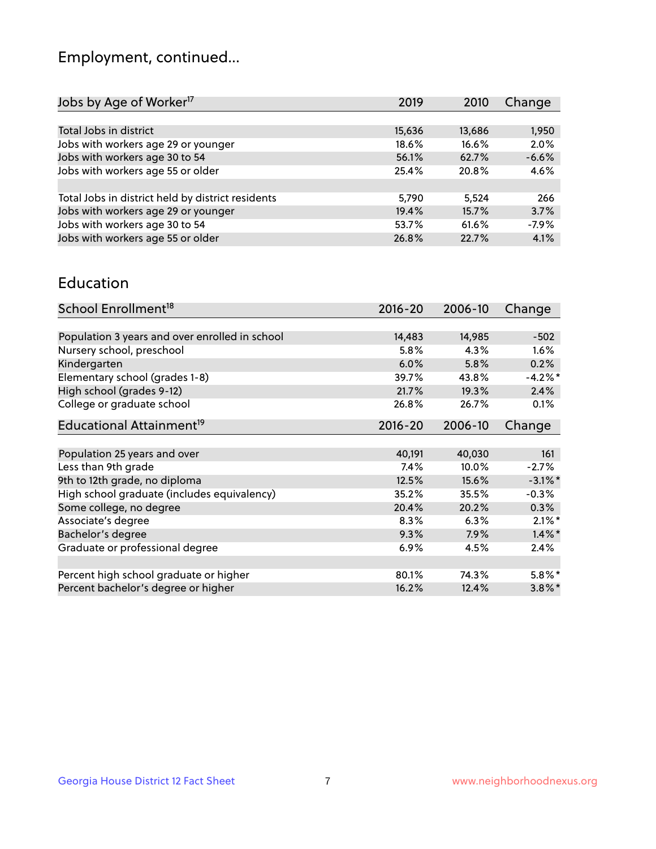# Employment, continued...

| Jobs by Age of Worker <sup>17</sup>               | 2019   | 2010   | Change  |
|---------------------------------------------------|--------|--------|---------|
|                                                   |        |        |         |
| Total Jobs in district                            | 15,636 | 13,686 | 1,950   |
| Jobs with workers age 29 or younger               | 18.6%  | 16.6%  | 2.0%    |
| Jobs with workers age 30 to 54                    | 56.1%  | 62.7%  | $-6.6%$ |
| Jobs with workers age 55 or older                 | 25.4%  | 20.8%  | 4.6%    |
|                                                   |        |        |         |
| Total Jobs in district held by district residents | 5,790  | 5,524  | 266     |
| Jobs with workers age 29 or younger               | 19.4%  | 15.7%  | 3.7%    |
| Jobs with workers age 30 to 54                    | 53.7%  | 61.6%  | $-7.9%$ |
| Jobs with workers age 55 or older                 | 26.8%  | 22.7%  | 4.1%    |

#### Education

| School Enrollment <sup>18</sup>                | $2016 - 20$ | 2006-10 | Change     |
|------------------------------------------------|-------------|---------|------------|
|                                                |             |         |            |
| Population 3 years and over enrolled in school | 14,483      | 14,985  | $-502$     |
| Nursery school, preschool                      | 5.8%        | 4.3%    | $1.6\%$    |
| Kindergarten                                   | 6.0%        | 5.8%    | 0.2%       |
| Elementary school (grades 1-8)                 | 39.7%       | 43.8%   | $-4.2%$ *  |
| High school (grades 9-12)                      | 21.7%       | 19.3%   | 2.4%       |
| College or graduate school                     | 26.8%       | 26.7%   | 0.1%       |
| Educational Attainment <sup>19</sup>           | $2016 - 20$ | 2006-10 | Change     |
|                                                |             |         |            |
| Population 25 years and over                   | 40,191      | 40,030  | 161        |
| Less than 9th grade                            | 7.4%        | 10.0%   | $-2.7%$    |
| 9th to 12th grade, no diploma                  | 12.5%       | 15.6%   | $-3.1\%$ * |
| High school graduate (includes equivalency)    | 35.2%       | 35.5%   | $-0.3%$    |
| Some college, no degree                        | 20.4%       | 20.2%   | 0.3%       |
| Associate's degree                             | 8.3%        | 6.3%    | $2.1\%$ *  |
| Bachelor's degree                              | 9.3%        | 7.9%    | $1.4\%$ *  |
| Graduate or professional degree                | 6.9%        | 4.5%    | 2.4%       |
|                                                |             |         |            |
| Percent high school graduate or higher         | 80.1%       | 74.3%   | $5.8\%$ *  |
| Percent bachelor's degree or higher            | 16.2%       | 12.4%   | $3.8\%$ *  |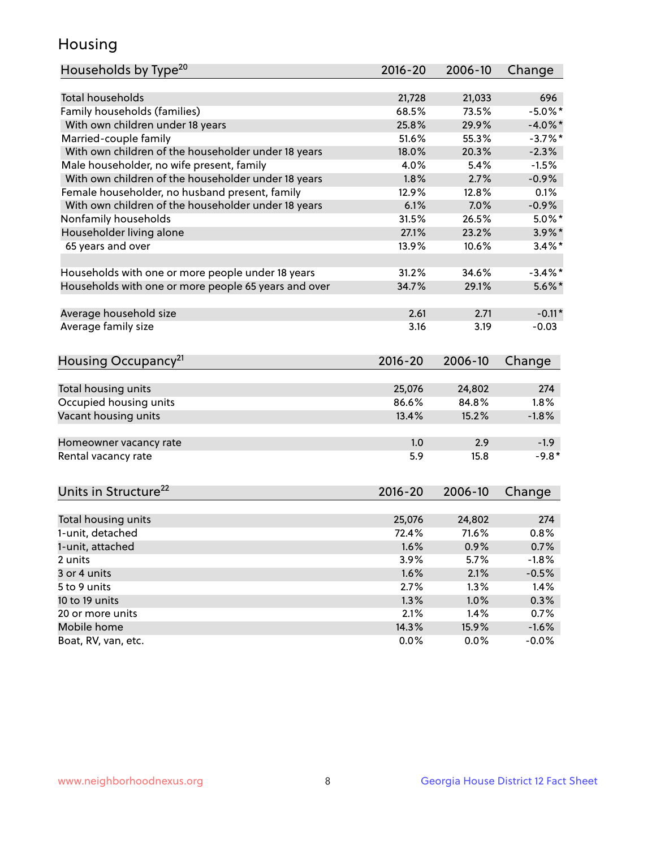## Housing

| Households by Type <sup>20</sup>                     | 2016-20     | 2006-10 | Change     |
|------------------------------------------------------|-------------|---------|------------|
|                                                      |             |         |            |
| <b>Total households</b>                              | 21,728      | 21,033  | 696        |
| Family households (families)                         | 68.5%       | 73.5%   | $-5.0\%$ * |
| With own children under 18 years                     | 25.8%       | 29.9%   | $-4.0\%$ * |
| Married-couple family                                | 51.6%       | 55.3%   | $-3.7\%$ * |
| With own children of the householder under 18 years  | 18.0%       | 20.3%   | $-2.3%$    |
| Male householder, no wife present, family            | 4.0%        | 5.4%    | $-1.5%$    |
| With own children of the householder under 18 years  | 1.8%        | 2.7%    | $-0.9%$    |
| Female householder, no husband present, family       | 12.9%       | 12.8%   | 0.1%       |
| With own children of the householder under 18 years  | 6.1%        | 7.0%    | $-0.9%$    |
| Nonfamily households                                 | 31.5%       | 26.5%   | $5.0\%$ *  |
| Householder living alone                             | 27.1%       | 23.2%   | $3.9\%$ *  |
| 65 years and over                                    | 13.9%       | 10.6%   | $3.4\%$ *  |
|                                                      |             |         |            |
| Households with one or more people under 18 years    | 31.2%       | 34.6%   | $-3.4\%$ * |
| Households with one or more people 65 years and over | 34.7%       | 29.1%   | $5.6\%$ *  |
|                                                      |             |         |            |
| Average household size                               | 2.61        | 2.71    | $-0.11*$   |
| Average family size                                  | 3.16        | 3.19    | $-0.03$    |
|                                                      |             |         |            |
| Housing Occupancy <sup>21</sup>                      | $2016 - 20$ | 2006-10 | Change     |
|                                                      |             |         |            |
| Total housing units                                  | 25,076      | 24,802  | 274        |
| Occupied housing units                               | 86.6%       | 84.8%   | 1.8%       |
| Vacant housing units                                 | 13.4%       | 15.2%   | $-1.8%$    |
| Homeowner vacancy rate                               | 1.0         | 2.9     | $-1.9$     |
| Rental vacancy rate                                  | 5.9         | 15.8    | $-9.8*$    |
|                                                      |             |         |            |
| Units in Structure <sup>22</sup>                     | 2016-20     | 2006-10 | Change     |
|                                                      |             |         |            |
| Total housing units                                  | 25,076      | 24,802  | 274        |
| 1-unit, detached                                     | 72.4%       | 71.6%   | 0.8%       |
| 1-unit, attached                                     | 1.6%        | 0.9%    | 0.7%       |
| 2 units                                              | 3.9%        | 5.7%    | $-1.8%$    |
| 3 or 4 units                                         | 1.6%        | 2.1%    | $-0.5%$    |
| 5 to 9 units                                         | 2.7%        | 1.3%    | 1.4%       |
| 10 to 19 units                                       | 1.3%        | 1.0%    | 0.3%       |
| 20 or more units                                     | 2.1%        | 1.4%    | 0.7%       |
| Mobile home                                          | 14.3%       | 15.9%   | $-1.6%$    |
| Boat, RV, van, etc.                                  | 0.0%        | 0.0%    | $-0.0%$    |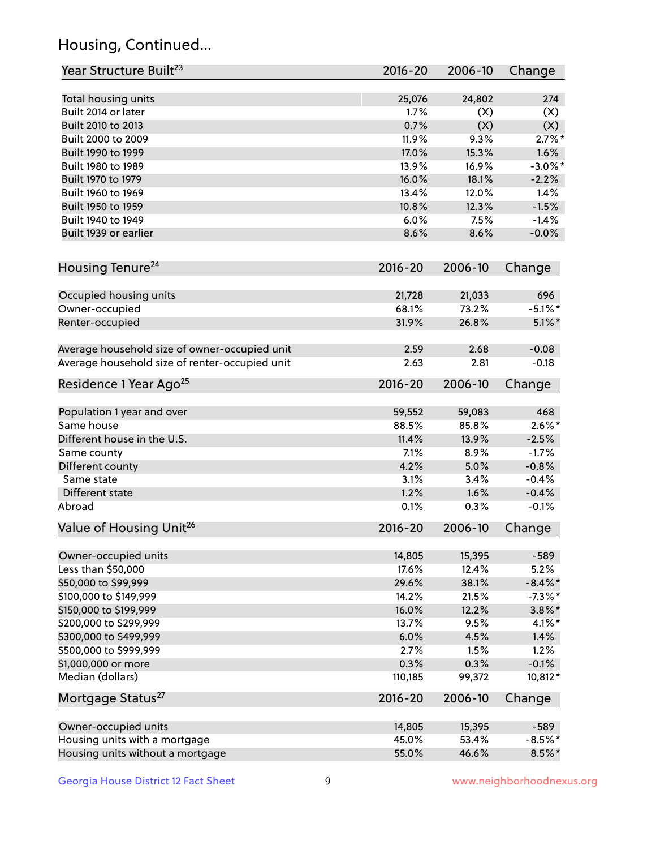# Housing, Continued...

| Year Structure Built <sup>23</sup>             | 2016-20     | 2006-10 | Change     |
|------------------------------------------------|-------------|---------|------------|
| Total housing units                            | 25,076      | 24,802  | 274        |
| Built 2014 or later                            | 1.7%        | (X)     | (X)        |
| Built 2010 to 2013                             | 0.7%        | (X)     | (X)        |
| Built 2000 to 2009                             | 11.9%       | 9.3%    | $2.7\%$ *  |
| Built 1990 to 1999                             | 17.0%       | 15.3%   | 1.6%       |
| Built 1980 to 1989                             | 13.9%       | 16.9%   | $-3.0\%$ * |
| Built 1970 to 1979                             | 16.0%       | 18.1%   | $-2.2%$    |
| Built 1960 to 1969                             | 13.4%       | 12.0%   | 1.4%       |
| Built 1950 to 1959                             | 10.8%       | 12.3%   | $-1.5%$    |
| Built 1940 to 1949                             | 6.0%        | 7.5%    | $-1.4%$    |
| Built 1939 or earlier                          | 8.6%        | 8.6%    | $-0.0%$    |
| Housing Tenure <sup>24</sup>                   | $2016 - 20$ | 2006-10 | Change     |
| Occupied housing units                         | 21,728      | 21,033  | 696        |
| Owner-occupied                                 | 68.1%       | 73.2%   | $-5.1\%$ * |
| Renter-occupied                                | 31.9%       | 26.8%   | $5.1\%$ *  |
| Average household size of owner-occupied unit  | 2.59        | 2.68    | $-0.08$    |
| Average household size of renter-occupied unit | 2.63        | 2.81    | $-0.18$    |
| Residence 1 Year Ago <sup>25</sup>             | 2016-20     | 2006-10 | Change     |
| Population 1 year and over                     | 59,552      | 59,083  | 468        |
| Same house                                     | 88.5%       | 85.8%   | $2.6\%$ *  |
| Different house in the U.S.                    | 11.4%       | 13.9%   | $-2.5%$    |
| Same county                                    | 7.1%        | 8.9%    | $-1.7%$    |
| Different county                               | 4.2%        | 5.0%    | $-0.8%$    |
| Same state                                     | 3.1%        | 3.4%    | $-0.4%$    |
| Different state                                | 1.2%        | 1.6%    | $-0.4%$    |
| Abroad                                         | 0.1%        | 0.3%    | $-0.1%$    |
| Value of Housing Unit <sup>26</sup>            | $2016 - 20$ | 2006-10 | Change     |
| Owner-occupied units                           | 14,805      | 15,395  | $-589$     |
| Less than \$50,000                             | 17.6%       | 12.4%   | 5.2%       |
| \$50,000 to \$99,999                           | 29.6%       | 38.1%   | $-8.4\%$ * |
| \$100,000 to \$149,999                         | 14.2%       | 21.5%   | $-7.3\%$ * |
| \$150,000 to \$199,999                         | 16.0%       | 12.2%   | $3.8\%$ *  |
| \$200,000 to \$299,999                         | 13.7%       | 9.5%    | $4.1\%$ *  |
| \$300,000 to \$499,999                         | 6.0%        | 4.5%    | 1.4%       |
| \$500,000 to \$999,999                         | 2.7%        | 1.5%    | 1.2%       |
| \$1,000,000 or more                            | 0.3%        | 0.3%    | $-0.1%$    |
| Median (dollars)                               | 110,185     | 99,372  | 10,812*    |
| Mortgage Status <sup>27</sup>                  | $2016 - 20$ | 2006-10 | Change     |
| Owner-occupied units                           | 14,805      | 15,395  | $-589$     |
| Housing units with a mortgage                  | 45.0%       | 53.4%   | $-8.5%$ *  |
| Housing units without a mortgage               | 55.0%       | 46.6%   | $8.5\%$ *  |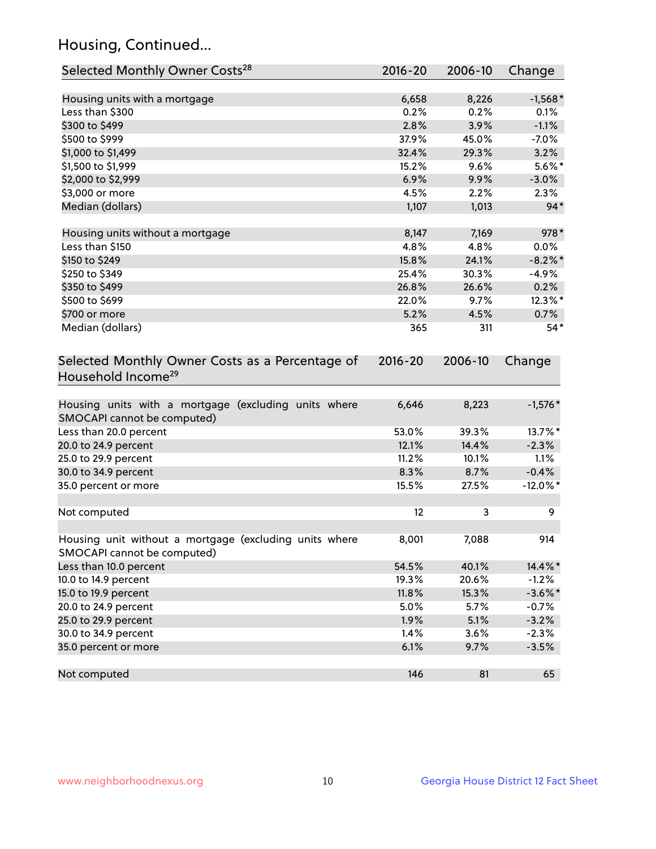# Housing, Continued...

| Selected Monthly Owner Costs <sup>28</sup>                                            | 2016-20 | 2006-10 | Change      |
|---------------------------------------------------------------------------------------|---------|---------|-------------|
| Housing units with a mortgage                                                         | 6,658   | 8,226   | $-1,568*$   |
| Less than \$300                                                                       | 0.2%    | 0.2%    | 0.1%        |
| \$300 to \$499                                                                        | 2.8%    | 3.9%    | $-1.1%$     |
| \$500 to \$999                                                                        | 37.9%   | 45.0%   | $-7.0%$     |
| \$1,000 to \$1,499                                                                    | 32.4%   | 29.3%   | 3.2%        |
| \$1,500 to \$1,999                                                                    | 15.2%   | 9.6%    | $5.6\%$ *   |
| \$2,000 to \$2,999                                                                    | 6.9%    | 9.9%    | $-3.0%$     |
| \$3,000 or more                                                                       | 4.5%    | 2.2%    | 2.3%        |
| Median (dollars)                                                                      | 1,107   | 1,013   | $94*$       |
| Housing units without a mortgage                                                      | 8,147   | 7,169   | 978*        |
| Less than \$150                                                                       | 4.8%    | 4.8%    | $0.0\%$     |
| \$150 to \$249                                                                        | 15.8%   | 24.1%   | $-8.2\%$ *  |
| \$250 to \$349                                                                        | 25.4%   | 30.3%   | $-4.9%$     |
| \$350 to \$499                                                                        | 26.8%   | 26.6%   | 0.2%        |
| \$500 to \$699                                                                        | 22.0%   | 9.7%    | 12.3%*      |
| \$700 or more                                                                         | 5.2%    | 4.5%    | 0.7%        |
| Median (dollars)                                                                      | 365     | 311     | $54*$       |
| Household Income <sup>29</sup>                                                        |         |         |             |
| Housing units with a mortgage (excluding units where<br>SMOCAPI cannot be computed)   | 6,646   | 8,223   | $-1,576*$   |
| Less than 20.0 percent                                                                | 53.0%   | 39.3%   | 13.7%*      |
| 20.0 to 24.9 percent                                                                  | 12.1%   | 14.4%   | $-2.3%$     |
| 25.0 to 29.9 percent                                                                  | 11.2%   | 10.1%   | 1.1%        |
| 30.0 to 34.9 percent                                                                  | 8.3%    | 8.7%    | $-0.4%$     |
| 35.0 percent or more                                                                  | 15.5%   | 27.5%   | $-12.0\%$ * |
| Not computed                                                                          | 12      | 3       | 9           |
| Housing unit without a mortgage (excluding units where<br>SMOCAPI cannot be computed) | 8,001   | 7,088   | 914         |
| Less than 10.0 percent                                                                | 54.5%   | 40.1%   | 14.4%*      |
| 10.0 to 14.9 percent                                                                  | 19.3%   | 20.6%   | $-1.2%$     |
| 15.0 to 19.9 percent                                                                  | 11.8%   | 15.3%   | $-3.6\%$ *  |
| 20.0 to 24.9 percent                                                                  | 5.0%    | 5.7%    | $-0.7%$     |
| 25.0 to 29.9 percent                                                                  | 1.9%    | 5.1%    | $-3.2%$     |
| 30.0 to 34.9 percent                                                                  | 1.4%    | 3.6%    | $-2.3%$     |
| 35.0 percent or more                                                                  | 6.1%    | 9.7%    | $-3.5%$     |
| Not computed                                                                          | 146     | 81      | 65          |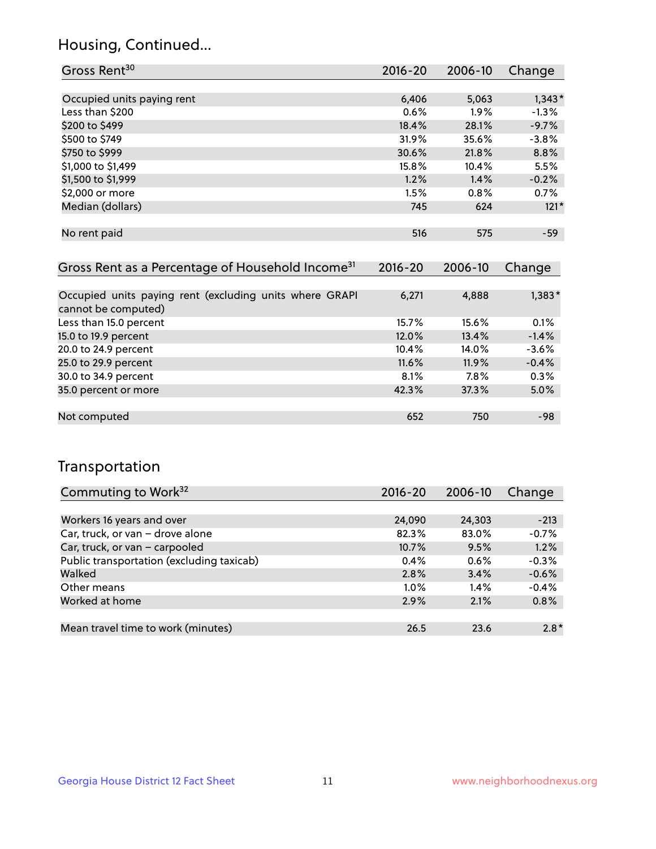## Housing, Continued...

| Gross Rent <sup>30</sup>   | 2016-20 | 2006-10 | Change   |
|----------------------------|---------|---------|----------|
|                            |         |         |          |
| Occupied units paying rent | 6,406   | 5,063   | $1,343*$ |
| Less than \$200            | 0.6%    | $1.9\%$ | $-1.3%$  |
| \$200 to \$499             | 18.4%   | 28.1%   | $-9.7%$  |
| \$500 to \$749             | 31.9%   | 35.6%   | $-3.8%$  |
| \$750 to \$999             | 30.6%   | 21.8%   | 8.8%     |
| \$1,000 to \$1,499         | 15.8%   | 10.4%   | 5.5%     |
| \$1,500 to \$1,999         | 1.2%    | 1.4%    | $-0.2%$  |
| \$2,000 or more            | 1.5%    | 0.8%    | 0.7%     |
| Median (dollars)           | 745     | 624     | $121*$   |
|                            |         |         |          |
| No rent paid               | 516     | 575     | $-59$    |
|                            |         |         |          |

| Gross Rent as a Percentage of Household Income <sup>31</sup>                   | $2016 - 20$ | 2006-10 | Change   |
|--------------------------------------------------------------------------------|-------------|---------|----------|
|                                                                                |             |         |          |
| Occupied units paying rent (excluding units where GRAPI<br>cannot be computed) | 6,271       | 4,888   | $1,383*$ |
| Less than 15.0 percent                                                         | 15.7%       | 15.6%   | 0.1%     |
| 15.0 to 19.9 percent                                                           | 12.0%       | 13.4%   | $-1.4%$  |
| 20.0 to 24.9 percent                                                           | 10.4%       | 14.0%   | $-3.6%$  |
| 25.0 to 29.9 percent                                                           | 11.6%       | 11.9%   | $-0.4%$  |
| 30.0 to 34.9 percent                                                           | 8.1%        | 7.8%    | 0.3%     |
| 35.0 percent or more                                                           | 42.3%       | 37.3%   | 5.0%     |
|                                                                                |             |         |          |
| Not computed                                                                   | 652         | 750     | -98      |

## Transportation

| Commuting to Work <sup>32</sup>           | $2016 - 20$ | 2006-10 | Change  |
|-------------------------------------------|-------------|---------|---------|
|                                           |             |         |         |
| Workers 16 years and over                 | 24,090      | 24,303  | $-213$  |
| Car, truck, or van - drove alone          | 82.3%       | 83.0%   | $-0.7%$ |
| Car, truck, or van - carpooled            | 10.7%       | 9.5%    | 1.2%    |
| Public transportation (excluding taxicab) | $0.4\%$     | $0.6\%$ | $-0.3%$ |
| Walked                                    | 2.8%        | 3.4%    | $-0.6%$ |
| Other means                               | $1.0\%$     | $1.4\%$ | $-0.4%$ |
| Worked at home                            | 2.9%        | 2.1%    | 0.8%    |
|                                           |             |         |         |
| Mean travel time to work (minutes)        | 26.5        | 23.6    | $2.8*$  |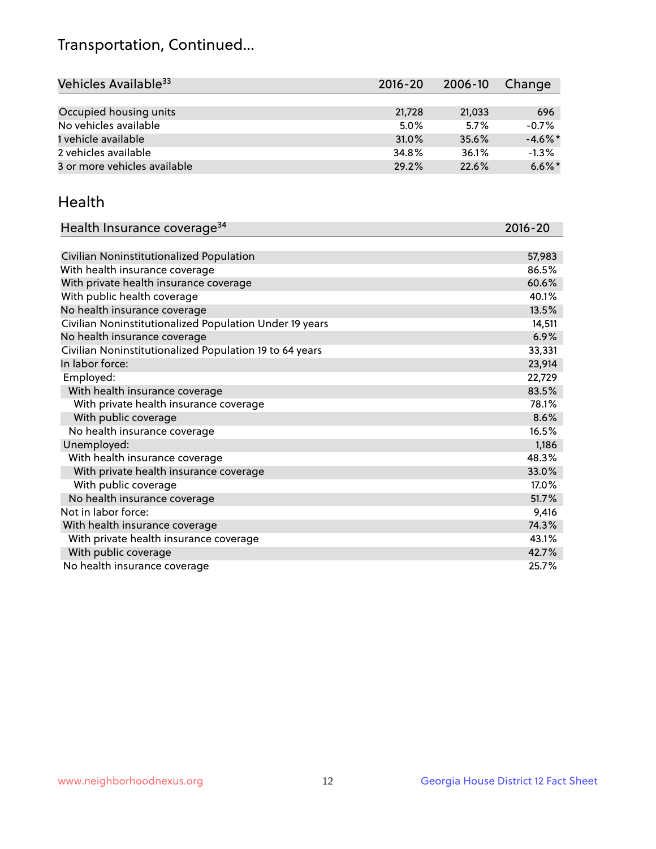## Transportation, Continued...

| Vehicles Available <sup>33</sup> | $2016 - 20$ | $2006 - 10$ | Change     |
|----------------------------------|-------------|-------------|------------|
|                                  |             |             |            |
| Occupied housing units           | 21,728      | 21,033      | 696        |
| No vehicles available            | 5.0%        | 5.7%        | $-0.7%$    |
| 1 vehicle available              | 31.0%       | 35.6%       | $-4.6\%$ * |
| 2 vehicles available             | 34.8%       | 36.1%       | $-1.3%$    |
| 3 or more vehicles available     | 29.2%       | 22.6%       | $6.6\%$ *  |

#### Health

| Health Insurance coverage <sup>34</sup>                 | 2016-20 |
|---------------------------------------------------------|---------|
|                                                         |         |
| Civilian Noninstitutionalized Population                | 57,983  |
| With health insurance coverage                          | 86.5%   |
| With private health insurance coverage                  | 60.6%   |
| With public health coverage                             | 40.1%   |
| No health insurance coverage                            | 13.5%   |
| Civilian Noninstitutionalized Population Under 19 years | 14,511  |
| No health insurance coverage                            | 6.9%    |
| Civilian Noninstitutionalized Population 19 to 64 years | 33,331  |
| In labor force:                                         | 23,914  |
| Employed:                                               | 22,729  |
| With health insurance coverage                          | 83.5%   |
| With private health insurance coverage                  | 78.1%   |
| With public coverage                                    | 8.6%    |
| No health insurance coverage                            | 16.5%   |
| Unemployed:                                             | 1,186   |
| With health insurance coverage                          | 48.3%   |
| With private health insurance coverage                  | 33.0%   |
| With public coverage                                    | 17.0%   |
| No health insurance coverage                            | 51.7%   |
| Not in labor force:                                     | 9,416   |
| With health insurance coverage                          | 74.3%   |
| With private health insurance coverage                  | 43.1%   |
| With public coverage                                    | 42.7%   |
| No health insurance coverage                            | 25.7%   |